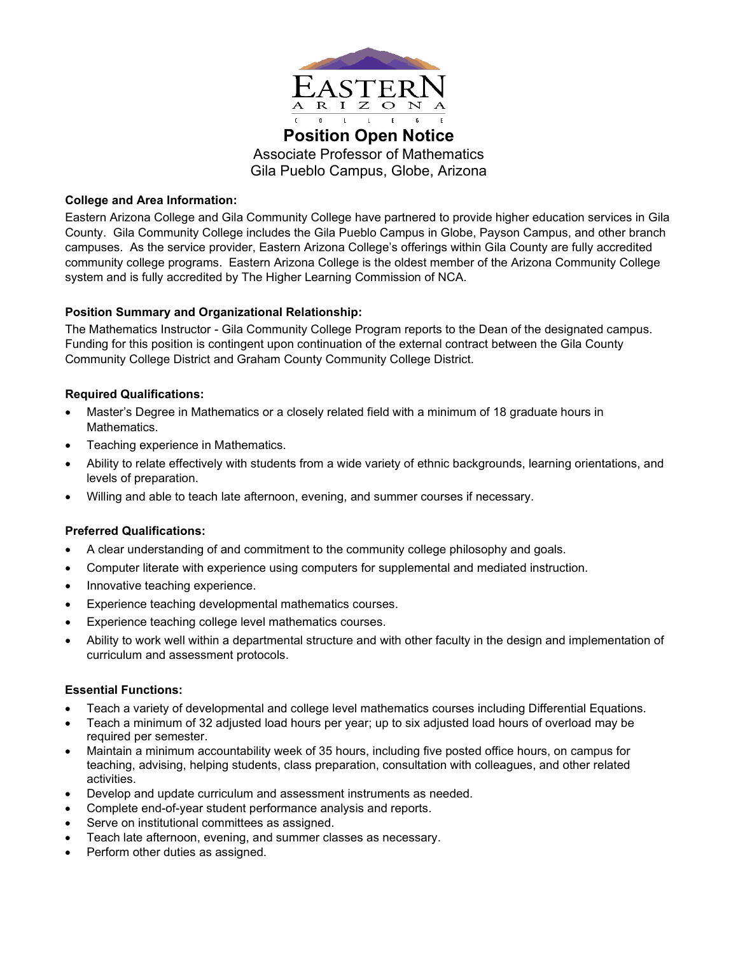

**Position Open Notice** Associate Professor of Mathematics Gila Pueblo Campus, Globe, Arizona

## **College and Area Information:**

Eastern Arizona College and Gila Community College have partnered to provide higher education services in Gila County. Gila Community College includes the Gila Pueblo Campus in Globe, Payson Campus, and other branch campuses. As the service provider, Eastern Arizona College's offerings within Gila County are fully accredited community college programs. Eastern Arizona College is the oldest member of the Arizona Community College system and is fully accredited by The Higher Learning Commission of NCA.

# **Position Summary and Organizational Relationship:**

The Mathematics Instructor - Gila Community College Program reports to the Dean of the designated campus. Funding for this position is contingent upon continuation of the external contract between the Gila County Community College District and Graham County Community College District.

## **Required Qualifications:**

- Master's Degree in Mathematics or a closely related field with a minimum of 18 graduate hours in **Mathematics**
- Teaching experience in Mathematics.
- Ability to relate effectively with students from a wide variety of ethnic backgrounds, learning orientations, and levels of preparation.
- Willing and able to teach late afternoon, evening, and summer courses if necessary.

#### **Preferred Qualifications:**

- A clear understanding of and commitment to the community college philosophy and goals.
- Computer literate with experience using computers for supplemental and mediated instruction.
- Innovative teaching experience.
- Experience teaching developmental mathematics courses.
- Experience teaching college level mathematics courses.
- Ability to work well within a departmental structure and with other faculty in the design and implementation of curriculum and assessment protocols.

#### **Essential Functions:**

- Teach a variety of developmental and college level mathematics courses including Differential Equations.
- Teach a minimum of 32 adjusted load hours per year; up to six adjusted load hours of overload may be required per semester.
- Maintain a minimum accountability week of 35 hours, including five posted office hours, on campus for teaching, advising, helping students, class preparation, consultation with colleagues, and other related activities.
- Develop and update curriculum and assessment instruments as needed.
- Complete end-of-year student performance analysis and reports.
- Serve on institutional committees as assigned.
- Teach late afternoon, evening, and summer classes as necessary.
- Perform other duties as assigned.